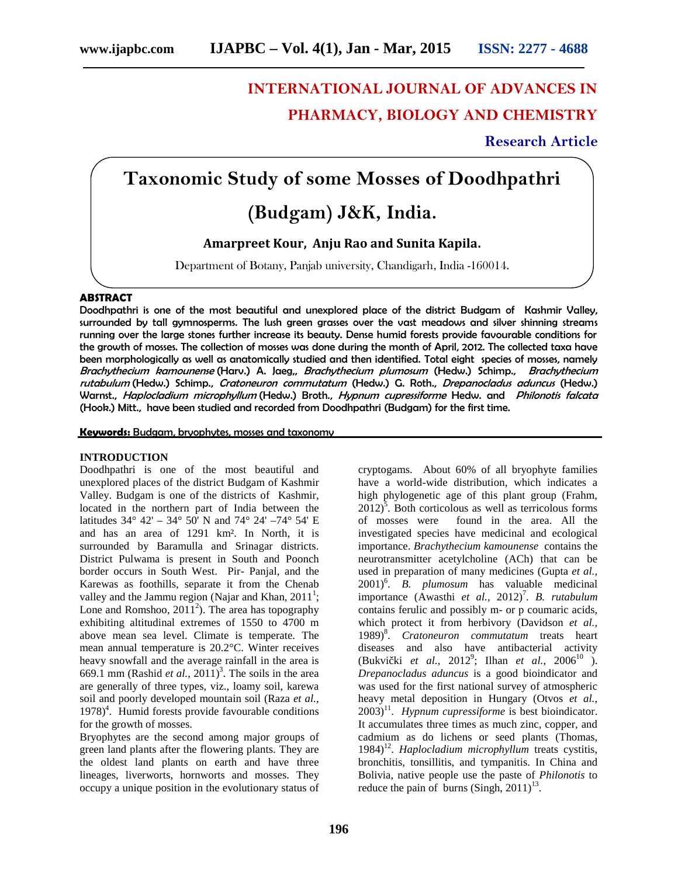# **INTERNATIONAL JOURNAL OF ADVANCES IN PHARMACY, BIOLOGY AND CHEMISTRY**

# **Research Article**

# **Taxonomic Study of some Mosses of Doodhpathri**

# **(Budgam) J&K, India.**

**Amarpreet Kour, Anju Rao and Sunita Kapila.**

Department of Botany, Panjab university, Chandigarh, India -160014.

## **ABSTRACT**

Doodhpathri is one of the most beautiful and unexplored place of the district Budgam of Kashmir Valley, surrounded by tall gymnosperms. The lush green grasses over the vast meadows and silver shinning streams running over the large stones further increase its beauty. Dense humid forests provide favourable conditions for the growth of mosses. The collection of mosses was done during the month of April, 2012. The collected taxa have been morphologically as well as anatomically studied and then identified. Total eight species of mosses, namely *Brachythecium kamounense* (Harv.) A. Jaeg,, *Brachythecium plumosum* (Hedw.) Schimp., *Brachythecium rutabulum* (Hedw.) Schimp., *Cratoneuron commutatum* (Hedw.) G. Roth., *Drepanocladus aduncus* (Hedw.) Warnst., *Haplocladium microphyllum* (Hedw.) Broth., *Hypnum cupressiforme* Hedw. and *Philonotis falcata* (Hook.) Mitt., have been studied and recorded from Doodhpathri (Budgam) for the first time.

**Keywords:** Budgam, bryophytes, mosses and taxonomy

## **INTRODUCTION**

Doodhpathri is one of the most beautiful and unexplored places of the district Budgam of Kashmir Valley. Budgam is one of the districts of Kashmir, located in the northern part of India between the latitudes  $34^{\circ}$  42' –  $34^{\circ}$  50' N and  $74^{\circ}$  24' –  $74^{\circ}$  54' E of mosses were and has an area of 1291 km². In North, it is surrounded by Baramulla and Srinagar districts. District Pulwama is present in South and Poonch border occurs in South West. Pir- Panjal, and the Karewas as foothills, separate it from the Chenab valley and the Jammu region (Najar and Khan,  $2011^1$ ; Lone and Romshoo,  $2011^2$ ). The area has topography exhibiting altitudinal extremes of 1550 to 4700 m above mean sea level. Climate is temperate. The mean annual temperature is 20.2°C. Winter receives heavy snowfall and the average rainfall in the area is 669.1 mm (Rashid *et al.*, 2011)<sup>3</sup>. The soils in the area are generally of three types, viz., loamy soil, karewa soil and poorly developed mountain soil (Raza *et al.,* 1978)<sup>4</sup>. Humid forests provide favourable conditions for the growth of mosses.

Bryophytes are the second among major groups of green land plants after the flowering plants. They are the oldest land plants on earth and have three lineages, liverworts, hornworts and mosses. They occupy a unique position in the evolutionary status of

cryptogams. About 60% of all bryophyte families have a world-wide distribution, which indicates a high phylogenetic age of this plant group (Frahm,  $2012$ <sup>5</sup>. Both corticolous as well as terricolous forms found in the area. All the investigated species have medicinal and ecological importance. *Brachythecium kamounense* contains the neurotransmitter acetylcholine (ACh) that can be used in preparation of many medicines (Gupta *et al.,* 2001)<sup>6</sup> . *B. plumosum* has valuable medicinal importance (Awasthi *et al.,* 2012)<sup>7</sup>. *B. rutabulum* contains ferulic and possibly m- or p coumaric acids, which protect it from herbivory (Davidson *et al.,* 1989)<sup>8</sup> . *Cratoneuron commutatum* treats heart diseases and also have antibacterial activity (Bukvi ki *et al.*, 2012<sup>9</sup>; Ilhan *et al.*, 2006<sup>10</sup> ). *Drepanocladus aduncus* is a good bioindicator and was used for the first national survey of atmospheric heavy metal deposition in Hungary (Otvos *et al.*,  $2003$ <sup>11</sup>. *Hypnum cupressiforme* is best bioindicator. It accumulates three times as much zinc, copper, and cadmium as do lichens or seed plants (Thomas, 1984)<sup>12</sup>. Haplocladium microphyllum treats cystitis, bronchitis, tonsillitis, and tympanitis. In China and Bolivia, native people use the paste of *Philonotis* to reduce the pain of burns  $(Singh, 2011)^{13}$ .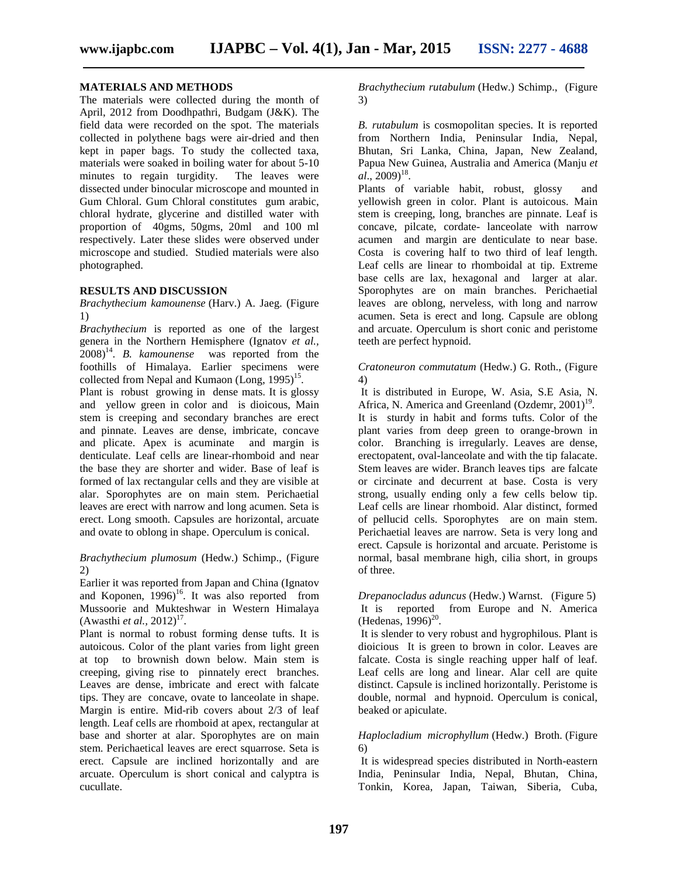# **MATERIALS AND METHODS**

The materials were collected during the month of April, 2012 from Doodhpathri, Budgam (J&K). The field data were recorded on the spot. The materials collected in polythene bags were air-dried and then kept in paper bags. To study the collected taxa, materials were soaked in boiling water for about 5-10 minutes to regain turgidity. The leaves were dissected under binocular microscope and mounted in Gum Chloral. Gum Chloral constitutes gum arabic, chloral hydrate, glycerine and distilled water with proportion of 40gms, 50gms, 20ml and 100 ml respectively. Later these slides were observed under microscope and studied. Studied materials were also photographed.

#### **RESULTS AND DISCUSSION**

*Brachythecium kamounense* (Harv.) A. Jaeg. (Figure 1)

*Brachythecium* is reported as one of the largest genera in the Northern Hemisphere (Ignatov *et al.,* 2008) 14 . *B. kamounense* was reported from the foothills of Himalaya. Earlier specimens were collected from Nepal and Kumaon  $(Long, 1995)^{15}$ .

Plant is robust growing in dense mats. It is glossy and yellow green in color and is dioicous, Main stem is creeping and secondary branches are erect and pinnate. Leaves are dense, imbricate, concave and plicate. Apex is acuminate and margin is denticulate. Leaf cells are linear-rhomboid and near the base they are shorter and wider. Base of leaf is formed of lax rectangular cells and they are visible at alar. Sporophytes are on main stem. Perichaetial leaves are erect with narrow and long acumen. Seta is erect. Long smooth. Capsules are horizontal, arcuate and ovate to oblong in shape. Operculum is conical.

### *Brachythecium plumosum* (Hedw.) Schimp., (Figure 2)

Earlier it was reported from Japan and China (Ignatov and Koponen,  $1996$ <sup>16</sup>. It was also reported from Mussoorie and Mukteshwar in Western Himalaya  $(A$ wasthi *et al.*,  $2012)^{17}$ .

Plant is normal to robust forming dense tufts. It is autoicous. Color of the plant varies from light green at top to brownish down below. Main stem is creeping, giving rise to pinnately erect branches. Leaves are dense, imbricate and erect with falcate tips. They are concave, ovate to lanceolate in shape. Margin is entire. Mid-rib covers about 2/3 of leaf length. Leaf cells are rhomboid at apex, rectangular at base and shorter at alar. Sporophytes are on main stem. Perichaetical leaves are erect squarrose. Seta is erect. Capsule are inclined horizontally and are arcuate. Operculum is short conical and calyptra is cucullate.

*Brachythecium rutabulum* (Hedw.) Schimp., (Figure 3)

*B. rutabulum* is cosmopolitan species. It is reported from Northern India, Peninsular India, Nepal, Bhutan, Sri Lanka, China, Japan, New Zealand, Papua New Guinea, Australia and America (Manju *et*  $a\hat{i}$ , 2009)<sup>18</sup>.

Plants of variable habit, robust, glossy and yellowish green in color. Plant is autoicous. Main stem is creeping, long, branches are pinnate. Leaf is concave, pilcate, cordate- lanceolate with narrow acumen and margin are denticulate to near base. Costa is covering half to two third of leaf length. Leaf cells are linear to rhomboidal at tip. Extreme base cells are lax, hexagonal and larger at alar. Sporophytes are on main branches. Perichaetial leaves are oblong, nerveless, with long and narrow acumen. Seta is erect and long. Capsule are oblong and arcuate. Operculum is short conic and peristome teeth are perfect hypnoid.

*Cratoneuron commutatum* (Hedw.) G. Roth., (Figure 4)

It is distributed in Europe, W. Asia, S.E Asia, N. Africa, N. America and Greenland  $(Ozdemr, 2001)$ <sup>19</sup>. It is sturdy in habit and forms tufts. Color of the plant varies from deep green to orange-brown in color. Branching is irregularly. Leaves are dense, erectopatent, oval-lanceolate and with the tip falacate. Stem leaves are wider. Branch leaves tips are falcate or circinate and decurrent at base. Costa is very strong, usually ending only a few cells below tip. Leaf cells are linear rhomboid. Alar distinct, formed of pellucid cells. Sporophytes are on main stem. Perichaetial leaves are narrow. Seta is very long and erect. Capsule is horizontal and arcuate. Peristome is normal, basal membrane high, cilia short, in groups of three.

*Drepanocladus aduncus* (Hedw.) Warnst. (Figure 5) It is reported from Europe and N. America (Hedenas,  $1996$ )<sup>20</sup>.

It is slender to very robust and hygrophilous. Plant is dioicious It is green to brown in color. Leaves are falcate. Costa is single reaching upper half of leaf. Leaf cells are long and linear. Alar cell are quite distinct. Capsule is inclined horizontally. Peristome is double, normal and hypnoid. Operculum is conical, beaked or apiculate.

*Haplocladium microphyllum* (Hedw.) Broth. (Figure 6)

It is widespread species distributed in North-eastern India, Peninsular India, Nepal, Bhutan, China, Tonkin, Korea, Japan, Taiwan, Siberia, Cuba,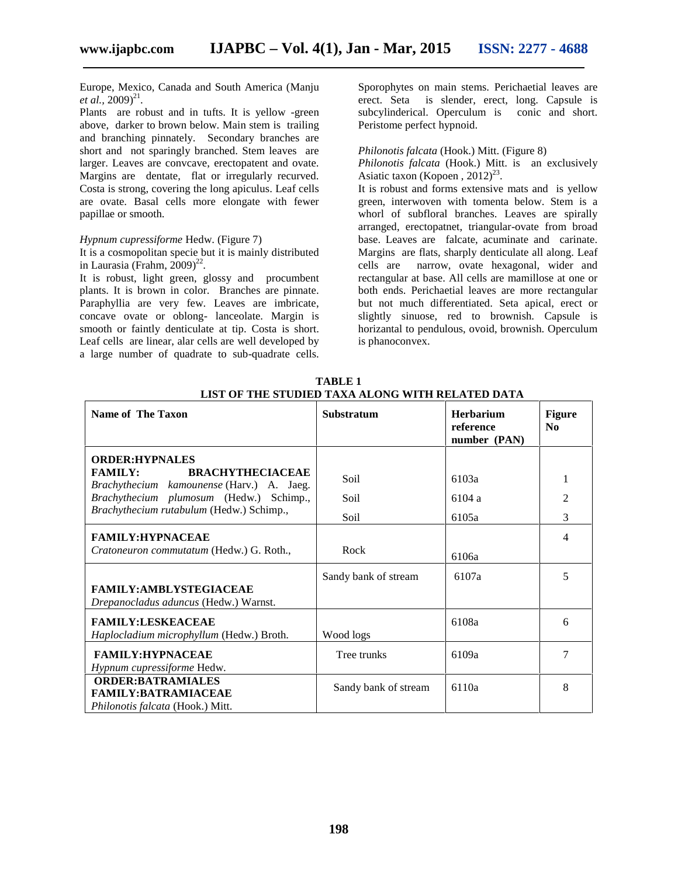Europe, Mexico, Canada and South America (Manju *et al.*,  $2009)^{21}$ .

Plants are robust and in tufts. It is yellow -green above, darker to brown below. Main stem is trailing and branching pinnately. Secondary branches are short and not sparingly branched. Stem leaves are larger. Leaves are convcave, erectopatent and ovate. Margins are dentate, flat or irregularly recurved. Costa is strong, covering the long apiculus. Leaf cells are ovate. Basal cells more elongate with fewer papillae or smooth.

#### *Hypnum cupressiforme* Hedw. (Figure 7)

It is a cosmopolitan specie but it is mainly distributed in Laurasia (Frahm, 2009) 22 .

It is robust, light green, glossy and procumbent plants. It is brown in color. Branches are pinnate. Paraphyllia are very few. Leaves are imbricate, concave ovate or oblong- lanceolate. Margin is smooth or faintly denticulate at tip. Costa is short. Leaf cells are linear, alar cells are well developed by a large number of quadrate to sub-quadrate cells.

Sporophytes on main stems. Perichaetial leaves are erect. Seta is slender, erect, long. Capsule is subcylinderical. Operculum is conic and short. Peristome perfect hypnoid.

# *Philonotis falcata* (Hook.) Mitt. (Figure 8)

*Philonotis falcata* (Hook.) Mitt. is an exclusively Asiatic taxon (Kopoen,  $2012)^{23}$ .

It is robust and forms extensive mats and is yellow green, interwoven with tomenta below. Stem is a whorl of subfloral branches. Leaves are spirally arranged, erectopatnet, triangular-ovate from broad base. Leaves are falcate, acuminate and carinate. Margins are flats, sharply denticulate all along. Leaf cells are narrow, ovate hexagonal, wider and rectangular at base. All cells are mamillose at one or both ends. Perichaetial leaves are more rectangular but not much differentiated. Seta apical, erect or slightly sinuose, red to brownish. Capsule is horizantal to pendulous, ovoid, brownish. Operculum is phanoconvex.

| <b>Name of The Taxon</b>                                                                                         | <b>Substratum</b>    | <b>Herbarium</b><br>reference<br>number (PAN) | <b>Figure</b><br>No |
|------------------------------------------------------------------------------------------------------------------|----------------------|-----------------------------------------------|---------------------|
| <b>ORDER: HYPNALES</b><br><b>FAMILY:</b><br><b>BRACHYTHECIACEAE</b><br>Brachythecium kamounense (Harv.) A. Jaeg. | Soil                 | 6103a                                         | 1                   |
| <i>Brachythecium plumosum</i> (Hedw.) Schimp.,<br>Brachythecium rutabulum (Hedw.) Schimp.,                       | Soil<br>Soil         | 6104 a<br>6105a                               | $\overline{2}$<br>3 |
| <b>FAMILY:HYPNACEAE</b><br>Cratoneuron commutatum (Hedw.) G. Roth.,                                              | Rock                 | 6106a                                         | 4                   |
| <b>FAMILY:AMBLYSTEGIACEAE</b><br>Drepanocladus aduncus (Hedw.) Warnst.                                           | Sandy bank of stream | 6107a                                         | 5                   |
| <b>FAMILY:LESKEACEAE</b><br>Haplocladium microphyllum (Hedw.) Broth.                                             | Wood logs            | 6108a                                         | 6                   |
| <b>FAMILY:HYPNACEAE</b><br>Hypnum cupressiforme Hedw.                                                            | Tree trunks          | 6109a                                         | 7                   |
| <b>ORDER:BATRAMIALES</b><br><b>FAMILY:BATRAMIACEAE</b><br>Philonotis falcata (Hook.) Mitt.                       | Sandy bank of stream | 6110a                                         | 8                   |

**TABLE 1 LIST OF THE STUDIED TAXA ALONG WITH RELATED DATA**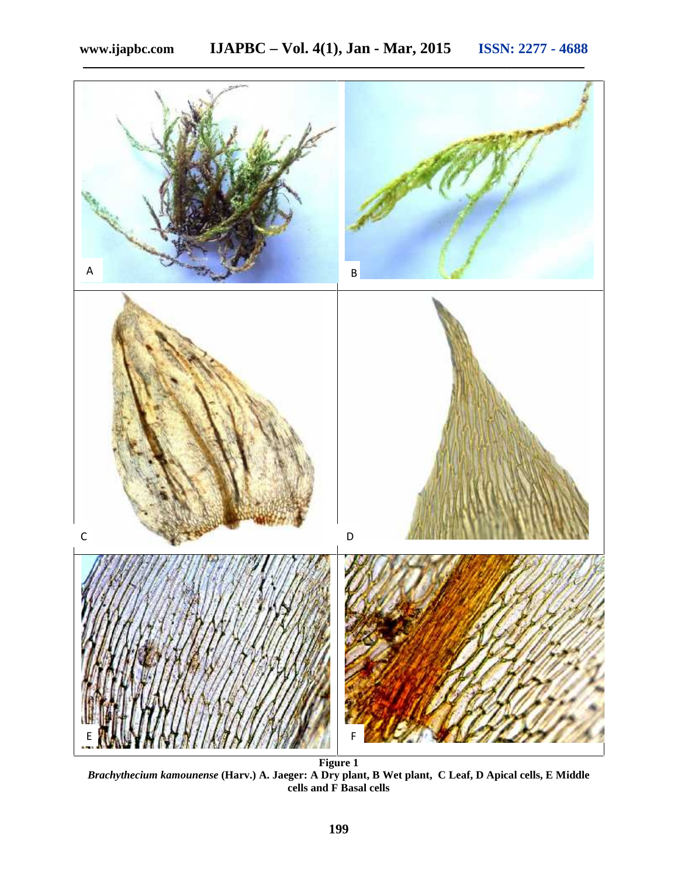

**Figure 1** *Brachythecium kamounense* **(Harv.) A. Jaeger: A Dry plant, B Wet plant, C Leaf, D Apical cells, E Middle cells and F Basal cells**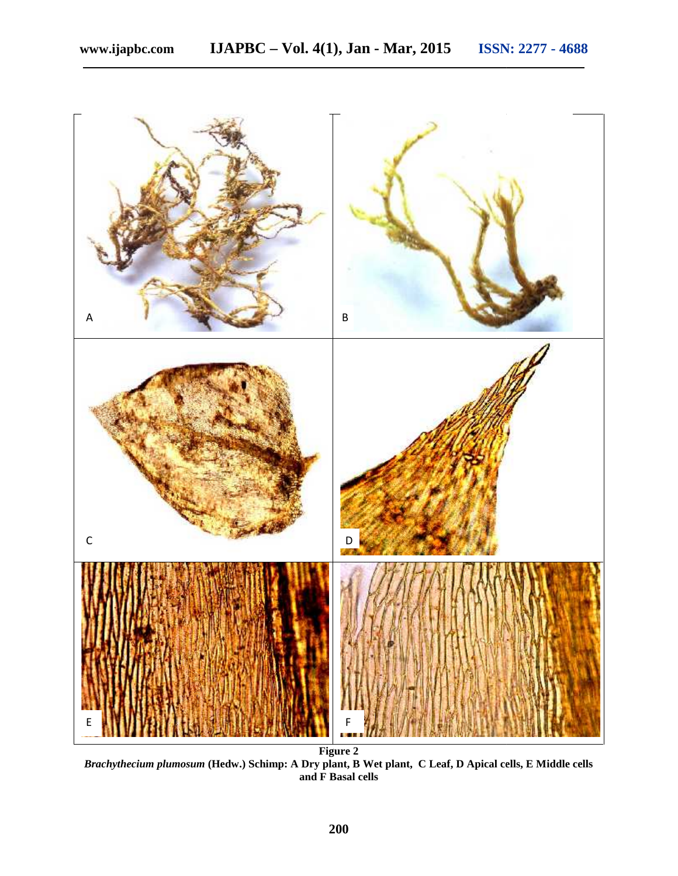

*Brachythecium plumosum* **(Hedw.) Schimp: A Dry plant, B Wet plant, C Leaf, D Apical cells, E Middle cells and F Basal cells**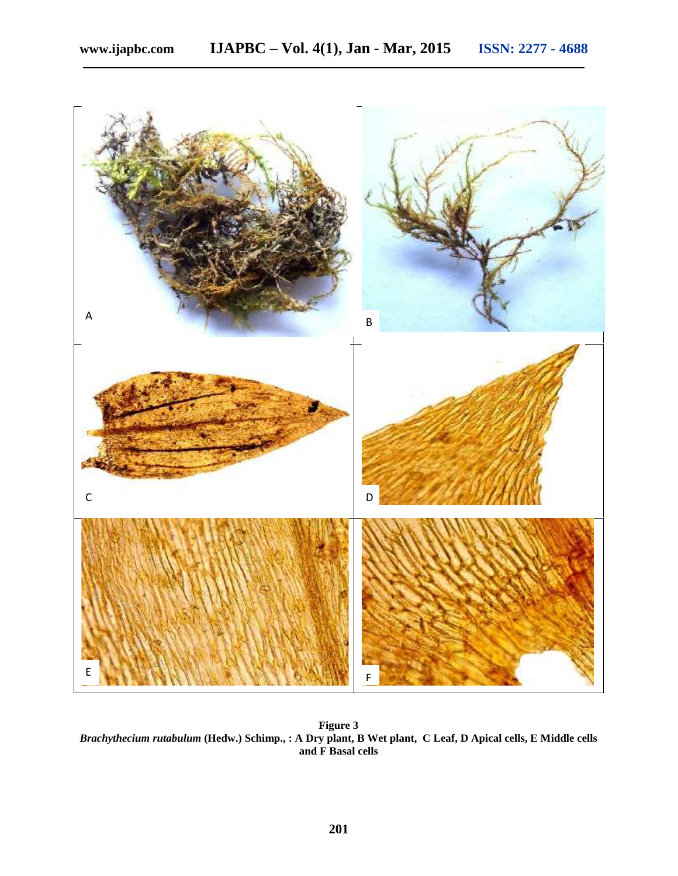

**Figure 3** *Brachythecium rutabulum* **(Hedw.) Schimp., : A Dry plant, B Wet plant, C Leaf, D Apical cells, E Middle cells and F Basal cells**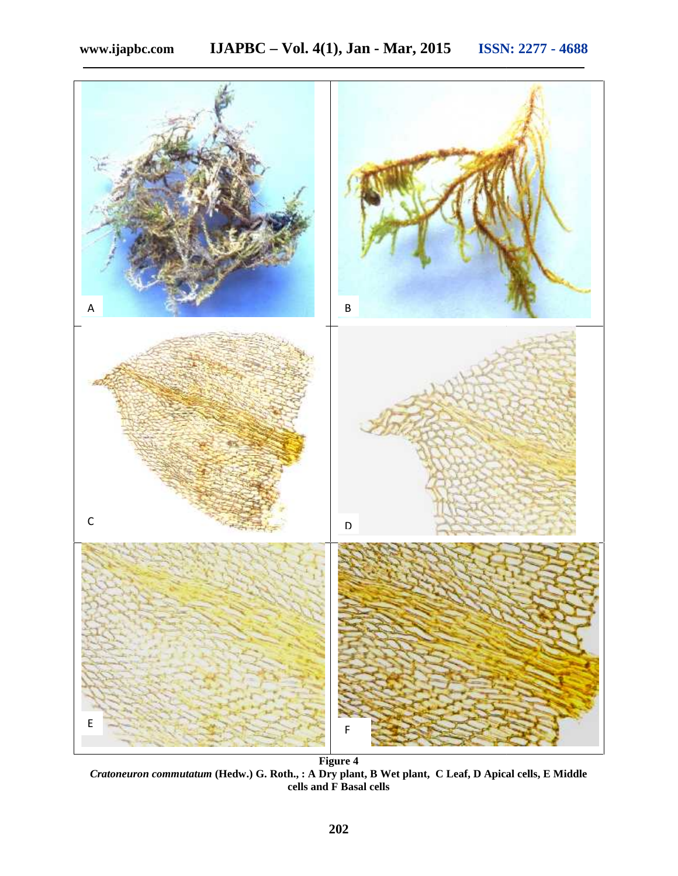

*Cratoneuron commutatum* **(Hedw.) G. Roth., : A Dry plant, B Wet plant, C Leaf, D Apical cells, E Middle cells and F Basal cells**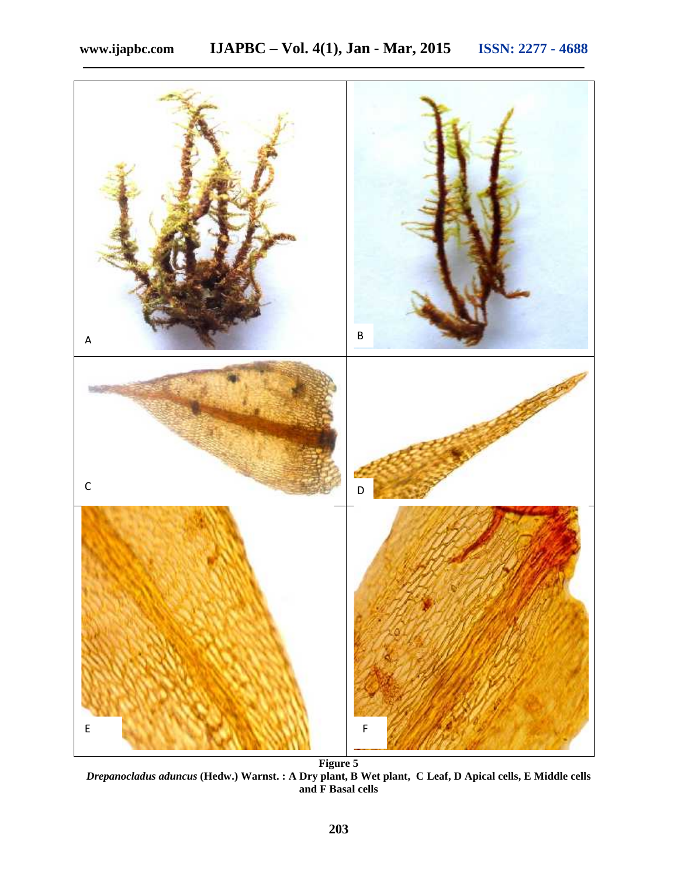

*Drepanocladus aduncus* **(Hedw.) Warnst. : A Dry plant, B Wet plant, C Leaf, D Apical cells, E Middle cells and F Basal cells**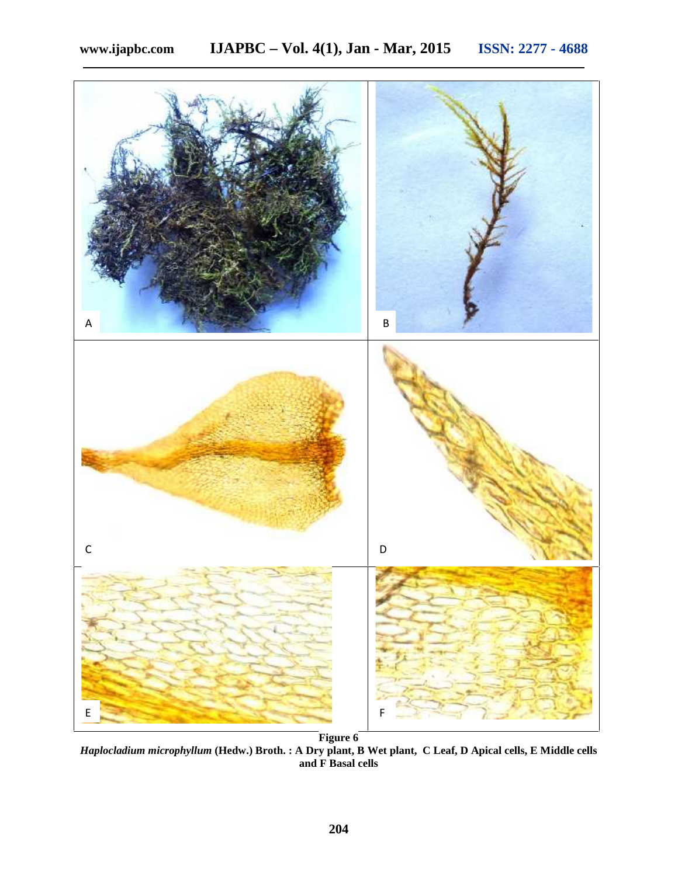

*Haplocladium microphyllum* **(Hedw.) Broth. : A Dry plant, B Wet plant, C Leaf, D Apical cells, E Middle cells and F Basal cells**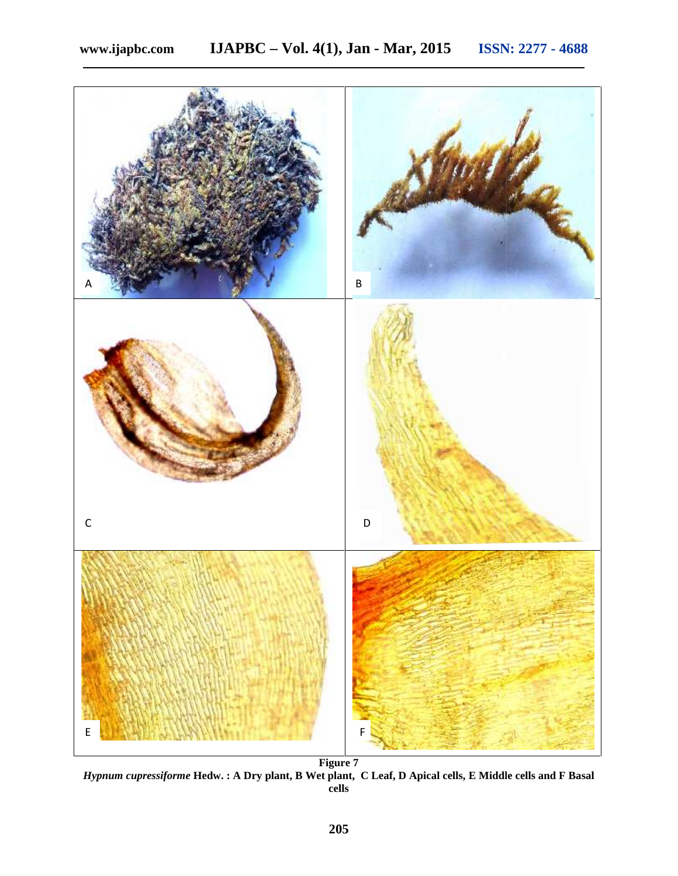

*Hypnum cupressiforme* **Hedw. : A Dry plant, B Wet plant, C Leaf, D Apical cells, E Middle cells and F Basal : A Leaf, Middle cells F Basalcells**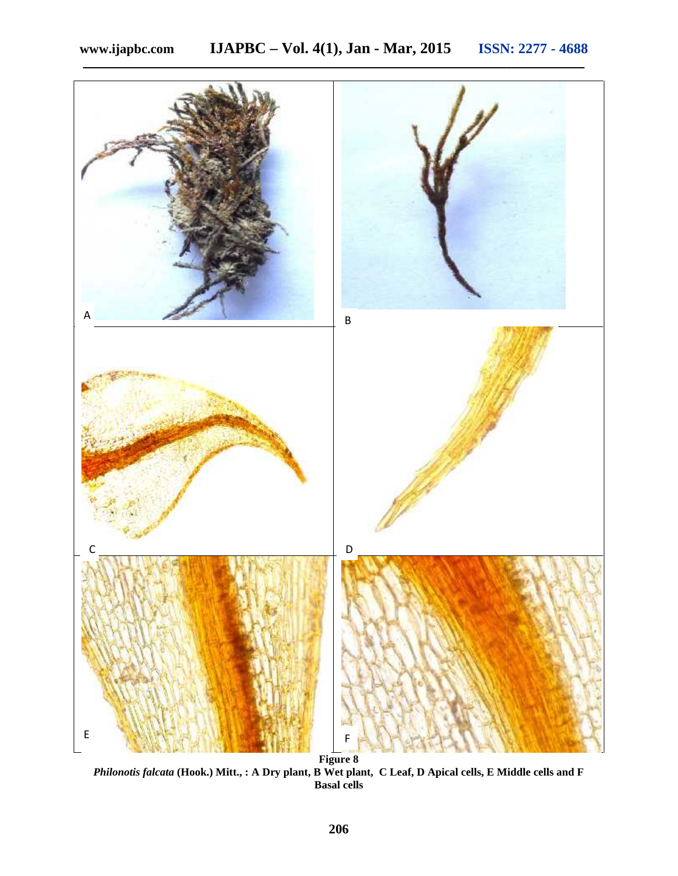

*Philonotis falcata* **(Hook.) Mitt., : A Dry plant, B Wet plant, C Leaf, D Apical cells, E Middle cells and F Basal cells**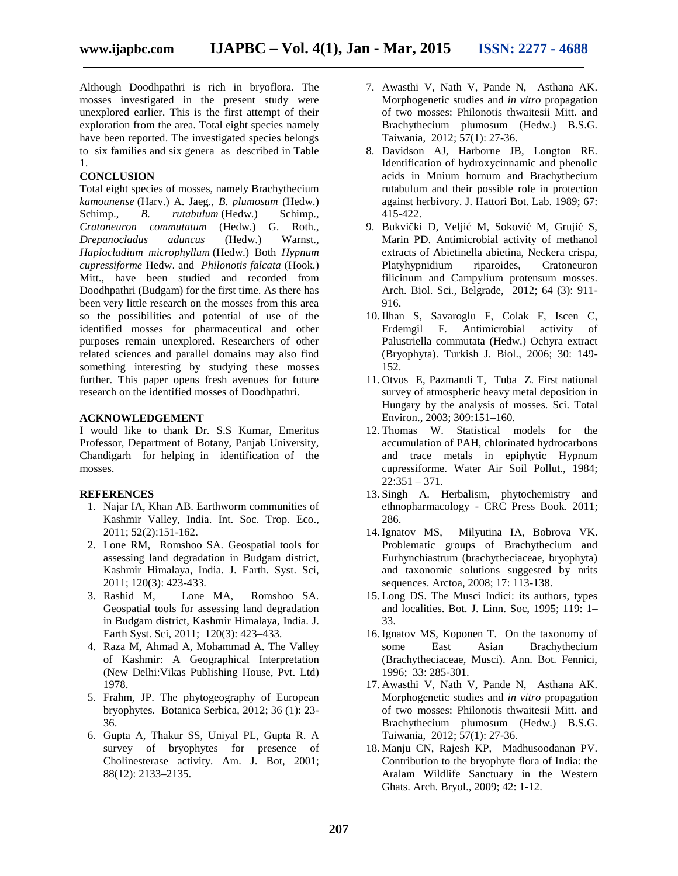Although Doodhpathri is rich in bryoflora. The mosses investigated in the present study were unexplored earlier. This is the first attempt of their exploration from the area. Total eight species namely have been reported. The investigated species belongs to six families and six genera as described in Table 1.

# **CONCLUSION**

Total eight species of mosses, namely Brachythecium *kamounense* (Harv.) A. Jaeg., *B. plumosum* (Hedw.) Schimp., *B. rutabulum* (Hedw.) Schimp., *Cratoneuron commutatum* (Hedw.) G. Roth., *Drepanocladus aduncus* (Hedw.) Warnst., *Haplocladium microphyllum* (Hedw.) Both *Hypnum cupressiforme* Hedw. and *Philonotis falcata* (Hook.) Mitt., have been studied and recorded from Doodhpathri (Budgam) for the first time. As there has been very little research on the mosses from this area so the possibilities and potential of use of the identified mosses for pharmaceutical and other purposes remain unexplored. Researchers of other related sciences and parallel domains may also find something interesting by studying these mosses further. This paper opens fresh avenues for future research on the identified mosses of Doodhpathri.

### **ACKNOWLEDGEMENT**

I would like to thank Dr. S.S Kumar, Emeritus Professor, Department of Botany, Panjab University, Chandigarh for helping in identification of the mosses.

## **REFERENCES**

- 1. Najar IA, Khan AB. Earthworm communities of Kashmir Valley, India. Int. Soc. Trop. Eco., 2011; 52(2):151-162.
- 2. Lone RM, Romshoo SA. Geospatial tools for assessing land degradation in Budgam district, Kashmir Himalaya, India. J. Earth. Syst. Sci, 2011; 120(3): 423-433.
- 3. Rashid M, Lone MA, Romshoo SA. Geospatial tools for assessing land degradation in Budgam district, Kashmir Himalaya, India. J. Earth Syst. Sci, 2011; 120(3): 423–433.
- 4. Raza M, Ahmad A, Mohammad A. The Valley of Kashmir: A Geographical Interpretation (New Delhi:Vikas Publishing House, Pvt. Ltd) 1978.
- 5. Frahm, JP. The phytogeography of European bryophytes. Botanica Serbica, 2012; 36 (1): 23- 36.
- 6. Gupta A, Thakur SS, Uniyal PL, Gupta R. A survey of bryophytes for presence of Cholinesterase activity. Am. J. Bot, 2001; 88(12): 2133–2135.
- 7. Awasthi V, Nath V, Pande N, Asthana AK. Morphogenetic studies and *in vitro* propagation of two mosses: Philonotis thwaitesii Mitt. and Brachythecium plumosum (Hedw.) B.S.G. Taiwania, 2012; 57(1): 27-36.
- 8. Davidson AJ, Harborne JB, Longton RE. Identification of hydroxycinnamic and phenolic acids in Mnium hornum and Brachythecium rutabulum and their possible role in protection against herbivory. J. Hattori Bot. Lab. 1989; 67: 415-422.
- 9. Bukvi ki D, Velji M, Sokovi M, Gruji S, Marin PD. Antimicrobial activity of methanol extracts of Abietinella abietina, Neckera crispa, Platyhypnidium riparoides, Cratoneuron filicinum and Campylium protensum mosses. Arch. Biol. Sci., Belgrade, 2012; 64 (3): 911- 916.
- 10. Ilhan S, Savaroglu F, Colak F, Iscen C, Erdemgil F. Antimicrobial activity of Palustriella commutata (Hedw.) Ochyra extract (Bryophyta). Turkish J. Biol., 2006; 30: 149- 152.
- 11. Otvos E, Pazmandi T, Tuba Z. First national survey of atmospheric heavy metal deposition in Hungary by the analysis of mosses. Sci. Total Environ., 2003; 309:151–160.
- 12. Thomas W. Statistical models for the accumulation of PAH, chlorinated hydrocarbons and trace metals in epiphytic Hypnum cupressiforme. Water Air Soil Pollut., 1984; 22:351 – 371.
- 13. Singh A. Herbalism, phytochemistry and ethnopharmacology - CRC Press Book. 2011; 286.
- 14. Ignatov MS, Milyutina IA, Bobrova VK. Problematic groups of Brachythecium and Eurhynchiastrum (brachytheciaceae, bryophyta) and taxonomic solutions suggested by nrits sequences. Arctoa, 2008; 17: 113-138.
- 15. Long DS. The Musci Indici: its authors, types and localities. Bot. J. Linn. Soc, 1995; 119: 1– 33.
- 16. Ignatov MS, Koponen T. On the taxonomy of some East Asian Brachythecium (Brachytheciaceae, Musci). Ann. Bot. Fennici, 1996; 33: 285-301.
- 17. Awasthi V, Nath V, Pande N, Asthana AK. Morphogenetic studies and *in vitro* propagation of two mosses: Philonotis thwaitesii Mitt. and Brachythecium plumosum (Hedw.) B.S.G. Taiwania, 2012; 57(1): 27-36.
- 18. Manju CN, Rajesh KP, Madhusoodanan PV. Contribution to the bryophyte flora of India: the Aralam Wildlife Sanctuary in the Western Ghats. Arch. Bryol., 2009; 42: 1-12.